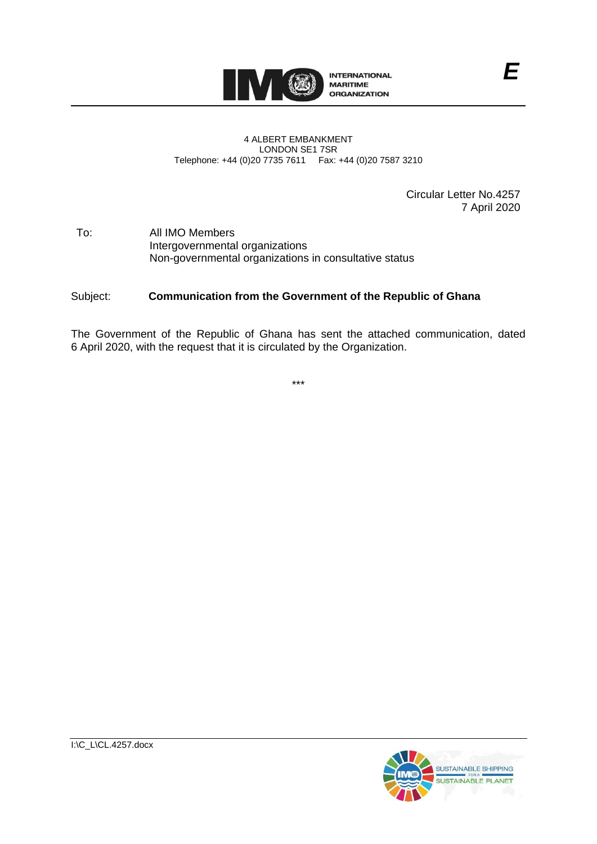

#### 4 ALBERT EMBANKMENT LONDON SE1 7SR Telephone: +44 (0)20 7735 7611 Fax: +44 (0)20 7587 3210

Circular Letter No.4257 7 April 2020

#### To: All IMO Members Intergovernmental organizations Non-governmental organizations in consultative status

#### Subject: **Communication from the Government of the Republic of Ghana**

The Government of the Republic of Ghana has sent the attached communication, dated 6 April 2020, with the request that it is circulated by the Organization.

\*\*\*

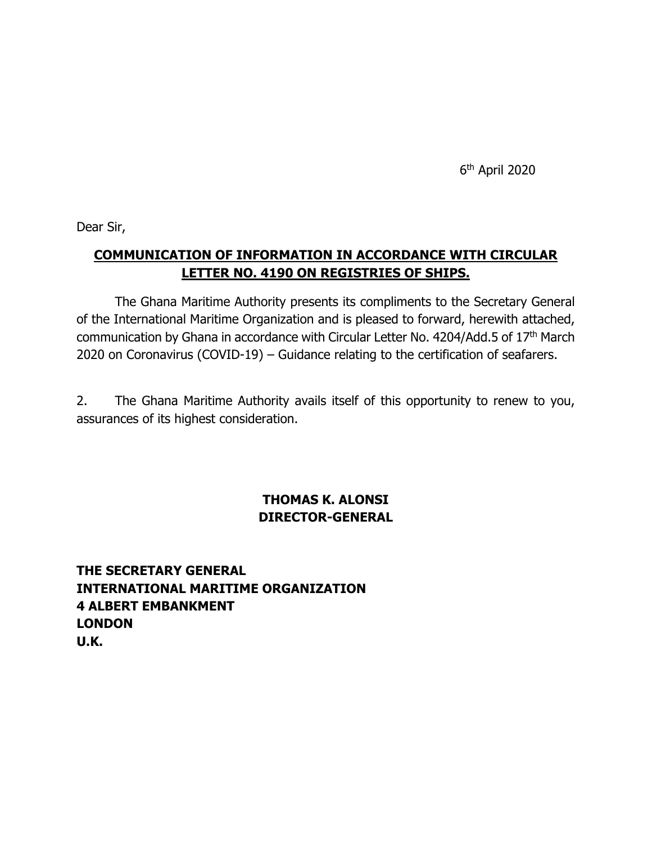6th April 2020

Dear Sir,

## **COMMUNICATION OF INFORMATION IN ACCORDANCE WITH CIRCULAR LETTER NO. 4190 ON REGISTRIES OF SHIPS.**

The Ghana Maritime Authority presents its compliments to the Secretary General of the International Maritime Organization and is pleased to forward, herewith attached, communication by Ghana in accordance with Circular Letter No. 4204/Add.5 of 17<sup>th</sup> March 2020 on Coronavirus (COVID-19) – Guidance relating to the certification of seafarers.

2. The Ghana Maritime Authority avails itself of this opportunity to renew to you, assurances of its highest consideration.

### **THOMAS K. ALONSI DIRECTOR-GENERAL**

**THE SECRETARY GENERAL INTERNATIONAL MARITIME ORGANIZATION 4 ALBERT EMBANKMENT LONDON U.K.**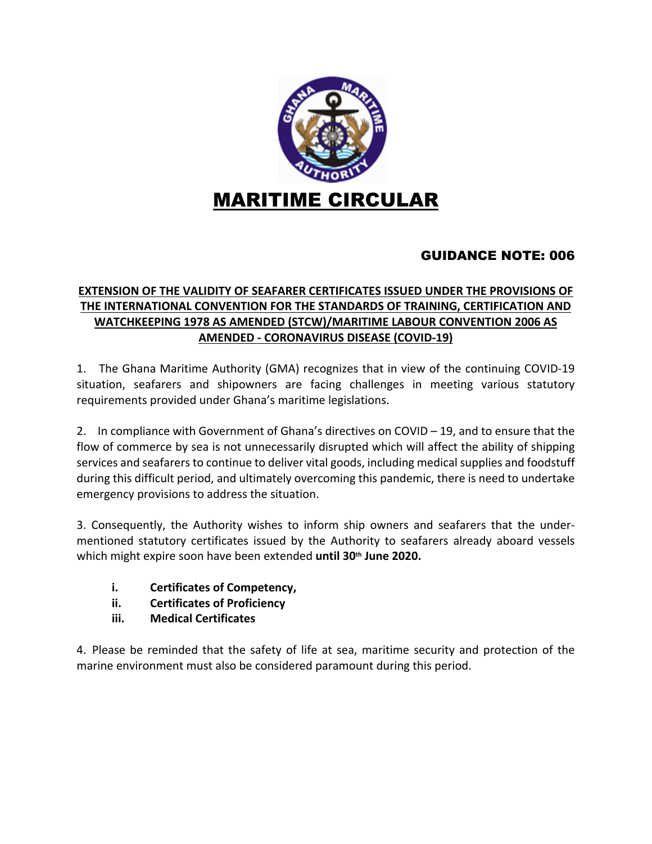

### GUIDANCE NOTE: 006

#### **EXTENSION OF THE VALIDITY OF SEAFARER CERTIFICATES ISSUED UNDER THE PROVISIONS OF THE INTERNATIONAL CONVENTION FOR THE STANDARDS OF TRAINING, CERTIFICATION AND WATCHKEEPING 1978 AS AMENDED (STCW)/MARITIME LABOUR CONVENTION 2006 AS AMENDED - CORONAVIRUS DISEASE (COVID-19)**

1. The Ghana Maritime Authority (GMA) recognizes that in view of the continuing COVID-19 situation, seafarers and shipowners are facing challenges in meeting various statutory requirements provided under Ghana's maritime legislations.

2. In compliance with Government of Ghana's directives on COVID – 19, and to ensure that the flow of commerce by sea is not unnecessarily disrupted which will affect the ability of shipping services and seafarers to continue to deliver vital goods, including medical supplies and foodstuff during this difficult period, and ultimately overcoming this pandemic, there is need to undertake emergency provisions to address the situation.

3. Consequently, the Authority wishes to inform ship owners and seafarers that the undermentioned statutory certificates issued by the Authority to seafarers already aboard vessels which might expire soon have been extended **until 30th June 2020.**

- **i. Certificates of Competency,**
- **ii. Certificates of Proficiency**
- **iii. Medical Certificates**

4. Please be reminded that the safety of life at sea, maritime security and protection of the marine environment must also be considered paramount during this period.